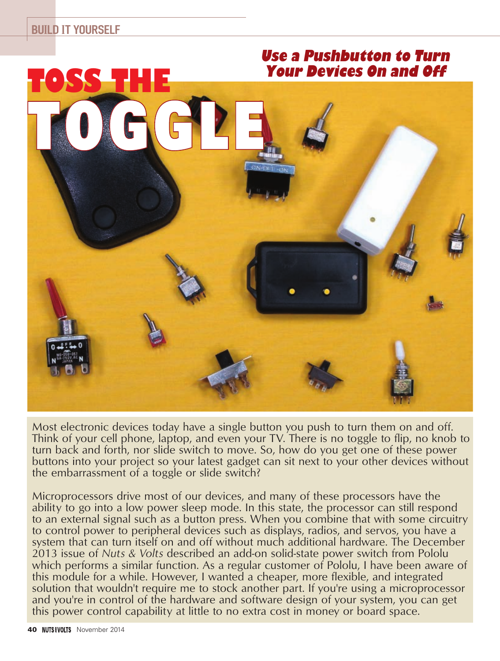

Most electronic devices today have a single button you push to turn them on and off. Think of your cell phone, laptop, and even your TV. There is no toggle to flip, no knob to turn back and forth, nor slide switch to move. So, how do you get one of these power buttons into your project so your latest gadget can sit next to your other devices without the embarrassment of a toggle or slide switch?

Microprocessors drive most of our devices, and many of these processors have the ability to go into a low power sleep mode. In this state, the processor can still respond to an external signal such as a button press. When you combine that with some circuitry to control power to peripheral devices such as displays, radios, and servos, you have a system that can turn itself on and off without much additional hardware. The December 2013 issue of *Nuts & Volts* described an add-on solid-state power switch from Pololu which performs a similar function. As a regular customer of Pololu, I have been aware of this module for a while. However, I wanted a cheaper, more flexible, and integrated solution that wouldn't require me to stock another part. If you're using a microprocessor and you're in control of the hardware and software design of your system, you can get this power control capability at little to no extra cost in money or board space.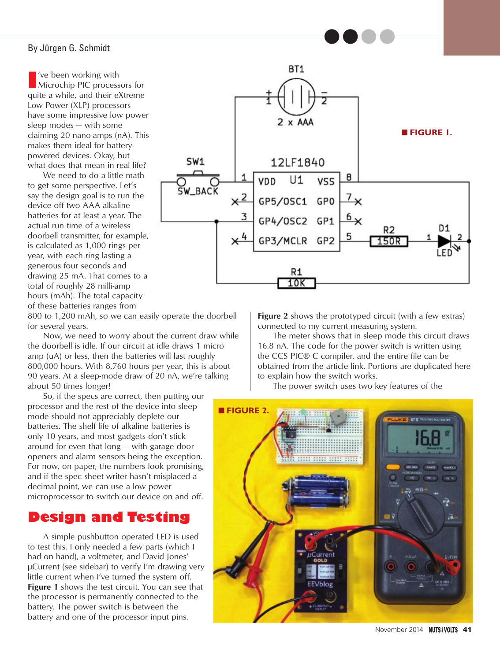### By Jürgen G. Schmidt

**I**<br> **I** Nicrochip PIC processors for quite a while, and their eXtreme Low Power (XLP) processors have some impressive low power sleep modes — with some claiming 20 nano-amps (nA). This makes them ideal for batterypowered devices. Okay, but what does that mean in real life?

We need to do a little math to get some perspective. Let's say the design goal is to run the device off two AAA alkaline batteries for at least a year. The actual run time of a wireless doorbell transmitter, for example, is calculated as 1,000 rings per year, with each ring lasting a generous four seconds and drawing 25 mA. That comes to a total of roughly 28 milli-amp hours (mAh). The total capacity of these batteries ranges from

 $2 \times AAA$ ■ **FIGURE 1.** SW1 12LF1840 8 VDD  $U1$ VSS **SW BACK**  $\times^2$ GP5/0SC1 GP0 3  $6\times$ GP4/0SC2 GP1 R2 5 GP3/MCLR GP2 150R R1 10K

BT<sub>1</sub>

800 to 1,200 mAh, so we can easily operate the doorbell for several years.

Now, we need to worry about the current draw while the doorbell is idle. If our circuit at idle draws 1 micro amp (uA) or less, then the batteries will last roughly 800,000 hours. With 8,760 hours per year, this is about 90 years. At a sleep-mode draw of 20 nA, we're talking about 50 times longer!

So, if the specs are correct, then putting our processor and the rest of the device into sleep mode should not appreciably deplete our batteries. The shelf life of alkaline batteries is only 10 years, and most gadgets don't stick around for even that long — with garage door openers and alarm sensors being the exception. For now, on paper, the numbers look promising, and if the spec sheet writer hasn't misplaced a decimal point, we can use a low power microprocessor to switch our device on and off.

## **Design and Testing**

A simple pushbutton operated LED is used to test this. I only needed a few parts (which I had on hand), a voltmeter, and David Jones' µCurrent (see sidebar) to verify I'm drawing very little current when I've turned the system off. **Figure 1** shows the test circuit. You can see that the processor is permanently connected to the battery. The power switch is between the battery and one of the processor input pins.

**Figure 2** shows the prototyped circuit (with a few extras) connected to my current measuring system.

●●●●

The meter shows that in sleep mode this circuit draws 16.8 nA. The code for the power switch is written using the CCS PIC® C compiler, and the entire file can be obtained from the article link. Portions are duplicated here to explain how the switch works.

The power switch uses two key features of the

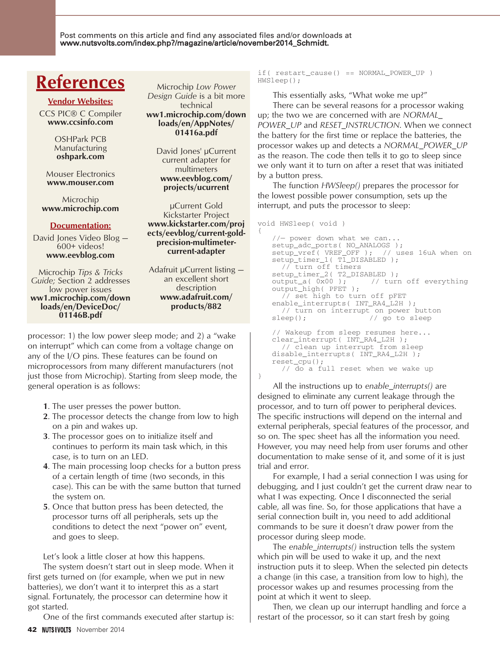Post comments on this article and find any associated files and/or downloads at www.nutsvolts.com/index.php?/magazine/article/november2014\_Schmidt.

# **References**

### **Vendor Websites:**

CCS PIC® C Compiler **www.ccsinfo.com**

> OSHPark PCB Manufacturing **oshpark.com**

Mouser Electronics **www.mouser.com**

Microchip **www.microchip.com**

### **Documentation:**

David Jones Video Blog — 600+ videos! **www.eevblog.com**

Microchip *Tips & Tricks Guide;* Section 2 addresses low power issues **ww1.microchip.com/down loads/en/DeviceDoc/ 01146B.pdf**

Microchip *Low Power Design Guide* is a bit more technical **ww1.microchip.com/down loads/en/AppNotes/ 01416a.pdf**

> David Jones' µCurrent current adapter for multimeters **www.eevblog.com/ projects/ucurrent**

µCurrent Gold Kickstarter Project **www.kickstarter.com/proj ects/eevblog/current-goldprecision-multimetercurrent-adapter**

Adafruit µCurrent listing an excellent short description **www.adafruit.com/ products/882**

processor: 1) the low power sleep mode; and 2) a "wake on interrupt" which can come from a voltage change on any of the I/O pins. These features can be found on microprocessors from many different manufacturers (not just those from Microchip). Starting from sleep mode, the general operation is as follows:

- **1**. The user presses the power button.
- **2**. The processor detects the change from low to high on a pin and wakes up.
- **3**. The processor goes on to initialize itself and continues to perform its main task which, in this case, is to turn on an LED.
- **4**. The main processing loop checks for a button press of a certain length of time (two seconds, in this case). This can be with the same button that turned the system on.
- **5**. Once that button press has been detected, the processor turns off all peripherals, sets up the conditions to detect the next "power on" event, and goes to sleep.

Let's look a little closer at how this happens.

The system doesn't start out in sleep mode. When it first gets turned on (for example, when we put in new batteries), we don't want it to interpret this as a start signal. Fortunately, the processor can determine how it got started.

One of the first commands executed after startup is:

 $if( restart cause() == NORMAL~POWER UP )$ HWSleep();

This essentially asks, "What woke me up?" There can be several reasons for a processor waking up; the two we are concerned with are *NORMAL\_ POWER\_UP* and *RESET\_INSTRUCTION*. When we connect the battery for the first time or replace the batteries, the processor wakes up and detects a *NORMAL\_POWER\_UP* as the reason. The code then tells it to go to sleep since we only want it to turn on after a reset that was initiated by a button press.

The function *HWSleep()* prepares the processor for the lowest possible power consumption, sets up the interrupt, and puts the processor to sleep:

```
void HWSleep( void )
```
{

}

```
//- power down what we can...setup_adc_ports( NO_ANALOGS );
setup_vref( VREF_OFF ); // uses 16uA when on
setup_timer_1( T1_DISABLED ); 
  // turn off timers
setup_timer_2( T2_DISABLED );
output_a( 0x00 ); // turn off everything
output_high( PFET );
  // set high to turn off pFET
enable_interrupts( INT_RA4_L2H );
 // turn on interrupt on power button
sleep(); \frac{1}{2} // go to sleep
// Wakeup from sleep resumes here...
clear_interrupt( INT_RA4_L2H );
  // clean up interrupt from sleep
disable_interrupts( INT_RA4_L2H );
reset_cpu(); 
  // do a full reset when we wake up
```
All the instructions up to *enable\_interrupts()* are designed to eliminate any current leakage through the processor, and to turn off power to peripheral devices. The specific instructions will depend on the internal and external peripherals, special features of the processor, and so on. The spec sheet has all the information you need. However, you may need help from user forums and other documentation to make sense of it, and some of it is just trial and error.

For example, I had a serial connection I was using for debugging, and I just couldn't get the current draw near to what I was expecting. Once I disconnected the serial cable, all was fine. So, for those applications that have a serial connection built in, you need to add additional commands to be sure it doesn't draw power from the processor during sleep mode.

The *enable\_interrupts()* instruction tells the system which pin will be used to wake it up, and the next instruction puts it to sleep. When the selected pin detects a change (in this case, a transition from low to high), the processor wakes up and resumes processing from the point at which it went to sleep.

Then, we clean up our interrupt handling and force a restart of the processor, so it can start fresh by going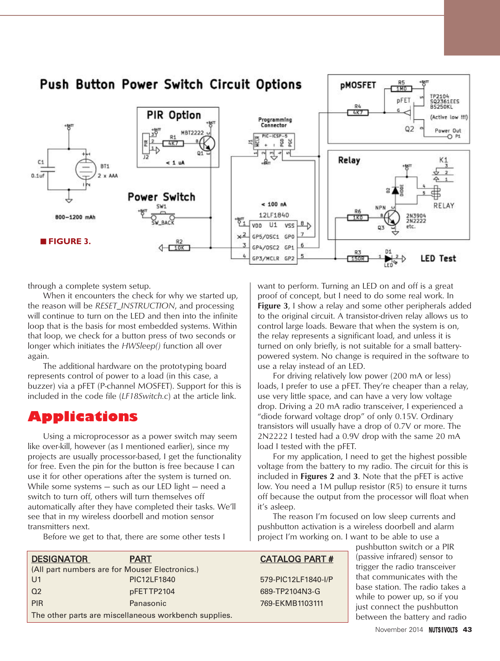

through a complete system setup.

When it encounters the check for why we started up, the reason will be *RESET\_INSTRUCTION*, and processing will continue to turn on the LED and then into the infinite loop that is the basis for most embedded systems. Within that loop, we check for a button press of two seconds or longer which initiates the *HWSleep()* function all over again.

The additional hardware on the prototyping board represents control of power to a load (in this case, a buzzer) via a pFET (P-channel MOSFET). Support for this is included in the code file (*LF18Switch.c*) at the article link.

## **Applications**

Using a microprocessor as a power switch may seem like over-kill, however (as I mentioned earlier), since my projects are usually processor-based, I get the functionality for free. Even the pin for the button is free because I can use it for other operations after the system is turned on. While some systems — such as our LED light — need a switch to turn off, others will turn themselves off automatically after they have completed their tasks. We'll see that in my wireless doorbell and motion sensor transmitters next.

want to perform. Turning an LED on and off is a great proof of concept, but I need to do some real work. In **Figure 3**, I show a relay and some other peripherals added to the original circuit. A transistor-driven relay allows us to control large loads. Beware that when the system is on, the relay represents a significant load, and unless it is turned on only briefly, is not suitable for a small batterypowered system. No change is required in the software to use a relay instead of an LED.

For driving relatively low power (200 mA or less) loads, I prefer to use a pFET. They're cheaper than a relay, use very little space, and can have a very low voltage drop. Driving a 20 mA radio transceiver, I experienced a "diode forward voltage drop" of only 0.15V. Ordinary transistors will usually have a drop of 0.7V or more. The 2N2222 I tested had a 0.9V drop with the same 20 mA load I tested with the pFET.

For my application, I need to get the highest possible voltage from the battery to my radio. The circuit for this is included in **Figures 2** and **3**. Note that the pFET is active low. You need a 1M pullup resistor (R5) to ensure it turns off because the output from the processor will float when it's asleep.

The reason I'm focused on low sleep currents and pushbutton activation is a wireless doorbell and alarm project I'm working on. I want to be able to use a

## CATALOG PART #

579-PIC12LF1840-I/P 689-TP2104N3-G 769-EKMB1103111

pushbutton switch or a PIR (passive infrared) sensor to trigger the radio transceiver that communicates with the base station. The radio takes a while to power up, so if you just connect the pushbutton between the battery and radio

Before we get to that, there are some other tests I

| <b>DESIGNATOR</b>                                     | PART        |
|-------------------------------------------------------|-------------|
| (All part numbers are for Mouser Electronics.)        |             |
| U <sub>1</sub>                                        | PIC12LF1840 |
| Q <sub>2</sub>                                        | pFETTP2104  |
| <b>PIR</b>                                            | Panasonic   |
| The other parts are miscellaneous workbench supplies. |             |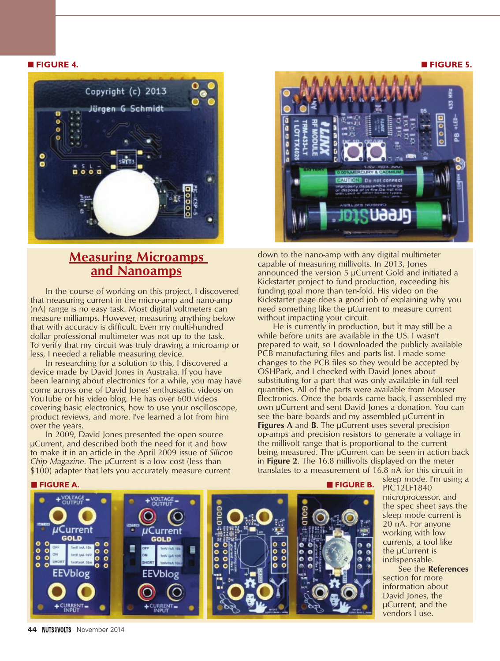### ■ **FIGURE 4.** ■ **FIGURE 5.**



## **Measuring Microamps and Nanoamps**

In the course of working on this project, I discovered that measuring current in the micro-amp and nano-amp (nA) range is no easy task. Most digital voltmeters can measure milliamps. However, measuring anything below that with accuracy is difficult. Even my multi-hundred dollar professional multimeter was not up to the task. To verify that my circuit was truly drawing a microamp or less, I needed a reliable measuring device.

In researching for a solution to this, I discovered a device made by David Jones in Australia. If you have been learning about electronics for a while, you may have come across one of David Jones' enthusiastic videos on YouTube or his video blog. He has over 600 videos covering basic electronics, how to use your oscilloscope, product reviews, and more. I've learned a lot from him over the years.

In 2009, David Jones presented the open source µCurrent, and described both the need for it and how to make it in an article in the April 2009 issue of *Silicon Chip Magazine*. The µCurrent is a low cost (less than \$100) adapter that lets you accurately measure current



down to the nano-amp with any digital multimeter capable of measuring millivolts. In 2013, Jones announced the version 5 µCurrent Gold and initiated a Kickstarter project to fund production, exceeding his funding goal more than ten-fold. His video on the Kickstarter page does a good job of explaining why you need something like the µCurrent to measure current without impacting your circuit.

He is currently in production, but it may still be a while before units are available in the US. I wasn't prepared to wait, so I downloaded the publicly available PCB manufacturing files and parts list. I made some changes to the PCB files so they would be accepted by OSHPark, and I checked with David Jones about substituting for a part that was only available in full reel quantities. All of the parts were available from Mouser Electronics. Once the boards came back, I assembled my own µCurrent and sent David Jones a donation. You can see the bare boards and my assembled µCurrent in **Figures A** and **B**. The µCurrent uses several precision op-amps and precision resistors to generate a voltage in the millivolt range that is proportional to the current being measured. The µCurrent can be seen in action back in **Figure 2**. The 16.8 millivolts displayed on the meter translates to a measurement of 16.8 nA for this circuit in

µCurrent Current GOLD **GOLD**  $\frac{8}{6}$  $\bullet$  $\bullet$ bloe

■ **FIGURE A.** ■ **FIGURE B.**

sleep mode. I'm using a PIC12LF1840 microprocessor, and the spec sheet says the sleep mode current is 20 nA. For anyone working with low currents, a tool like the µCurrent is indispensable.

See the **References** section for more information about David Jones, the µCurrent, and the vendors I use.